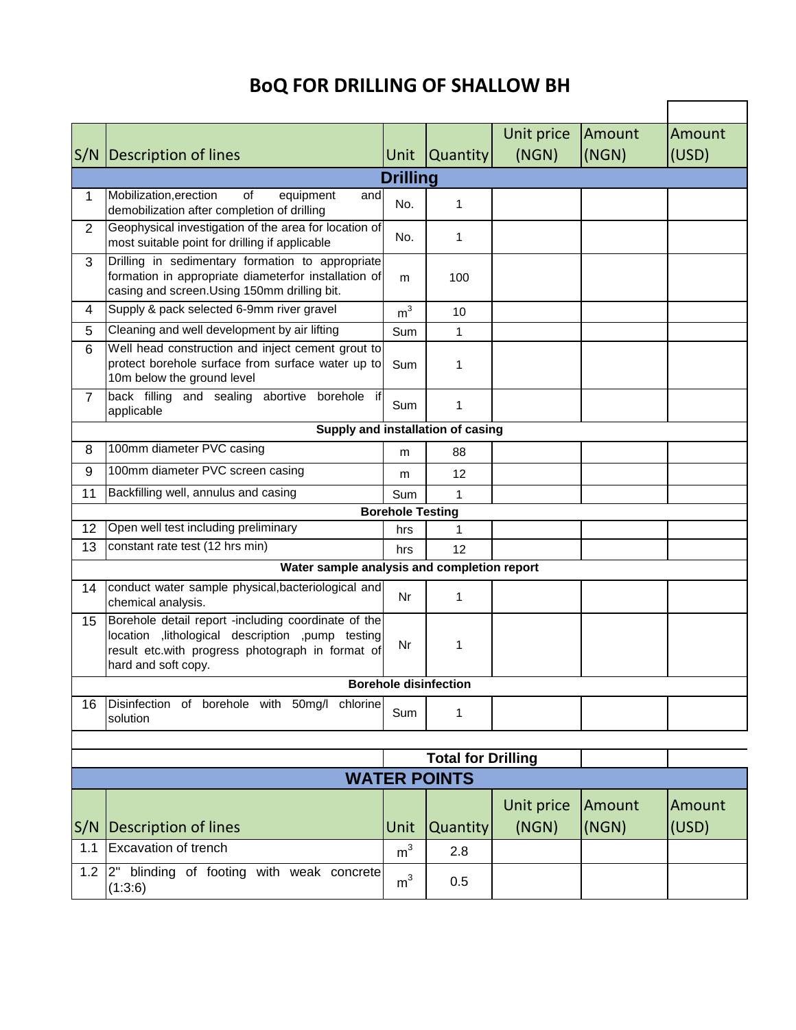## **BoQ FOR DRILLING OF SHALLOW BH**

|                |                                                                                                                                                                                      |                |                              | Unit price | Amount | Amount |  |
|----------------|--------------------------------------------------------------------------------------------------------------------------------------------------------------------------------------|----------------|------------------------------|------------|--------|--------|--|
|                | S/N   Description of lines                                                                                                                                                           | <b>Unit</b>    | <b>Quantity</b>              | (NGN)      | (NGN)  | (USD)  |  |
|                | <b>Drilling</b>                                                                                                                                                                      |                |                              |            |        |        |  |
| 1              | Mobilization, erection<br>equipment<br>of<br>and                                                                                                                                     |                |                              |            |        |        |  |
|                | demobilization after completion of drilling                                                                                                                                          | No.            | 1                            |            |        |        |  |
| 2              | Geophysical investigation of the area for location of<br>most suitable point for drilling if applicable                                                                              | No.            | 1                            |            |        |        |  |
| 3              | Drilling in sedimentary formation to appropriate<br>formation in appropriate diameterfor installation of<br>casing and screen.Using 150mm drilling bit.                              | m              | 100                          |            |        |        |  |
| 4              | Supply & pack selected 6-9mm river gravel                                                                                                                                            | m <sup>3</sup> | 10                           |            |        |        |  |
| 5              | Cleaning and well development by air lifting                                                                                                                                         | Sum            | 1                            |            |        |        |  |
| 6              | Well head construction and inject cement grout to<br>protect borehole surface from surface water up to<br>10m below the ground level                                                 | Sum            | 1                            |            |        |        |  |
| $\overline{7}$ | back filling and sealing abortive borehole if<br>applicable                                                                                                                          | Sum            | 1                            |            |        |        |  |
|                | Supply and installation of casing                                                                                                                                                    |                |                              |            |        |        |  |
| 8              | 100mm diameter PVC casing                                                                                                                                                            | m              | 88                           |            |        |        |  |
| 9              | 100mm diameter PVC screen casing                                                                                                                                                     | m              | 12                           |            |        |        |  |
| 11             | Backfilling well, annulus and casing                                                                                                                                                 | Sum            | 1                            |            |        |        |  |
|                | <b>Borehole Testing</b>                                                                                                                                                              |                |                              |            |        |        |  |
| 12             | Open well test including preliminary                                                                                                                                                 | hrs            | 1                            |            |        |        |  |
| 13             | constant rate test (12 hrs min)                                                                                                                                                      | hrs            | 12                           |            |        |        |  |
|                | Water sample analysis and completion report                                                                                                                                          |                |                              |            |        |        |  |
| 14             | conduct water sample physical, bacteriological and<br>chemical analysis.                                                                                                             | Nr             | 1                            |            |        |        |  |
| 15             | Borehole detail report -including coordinate of the<br>location , lithological description , pump testing<br>result etc.with progress photograph in format of<br>hard and soft copy. | Nr             | 1                            |            |        |        |  |
|                |                                                                                                                                                                                      |                | <b>Borehole disinfection</b> |            |        |        |  |
| 16             | Disinfection of borehole with 50mg/l chlorine<br>solution                                                                                                                            | Sum            | 1                            |            |        |        |  |
|                |                                                                                                                                                                                      |                | <b>Total for Drilling</b>    |            |        |        |  |
|                |                                                                                                                                                                                      |                | <b>WATER POINTS</b>          |            |        |        |  |
|                |                                                                                                                                                                                      |                |                              |            |        |        |  |
|                |                                                                                                                                                                                      |                |                              | Unit price | Amount | Amount |  |
| S/N            | Description of lines                                                                                                                                                                 | Unit           | Quantity                     | (NGN)      | (NGN)  | (USD)  |  |
| 1.1            | <b>Excavation of trench</b>                                                                                                                                                          | m <sup>3</sup> | 2.8                          |            |        |        |  |
| 1.2            | 2" blinding of footing with weak concrete<br>(1:3:6)                                                                                                                                 | m <sup>3</sup> | 0.5                          |            |        |        |  |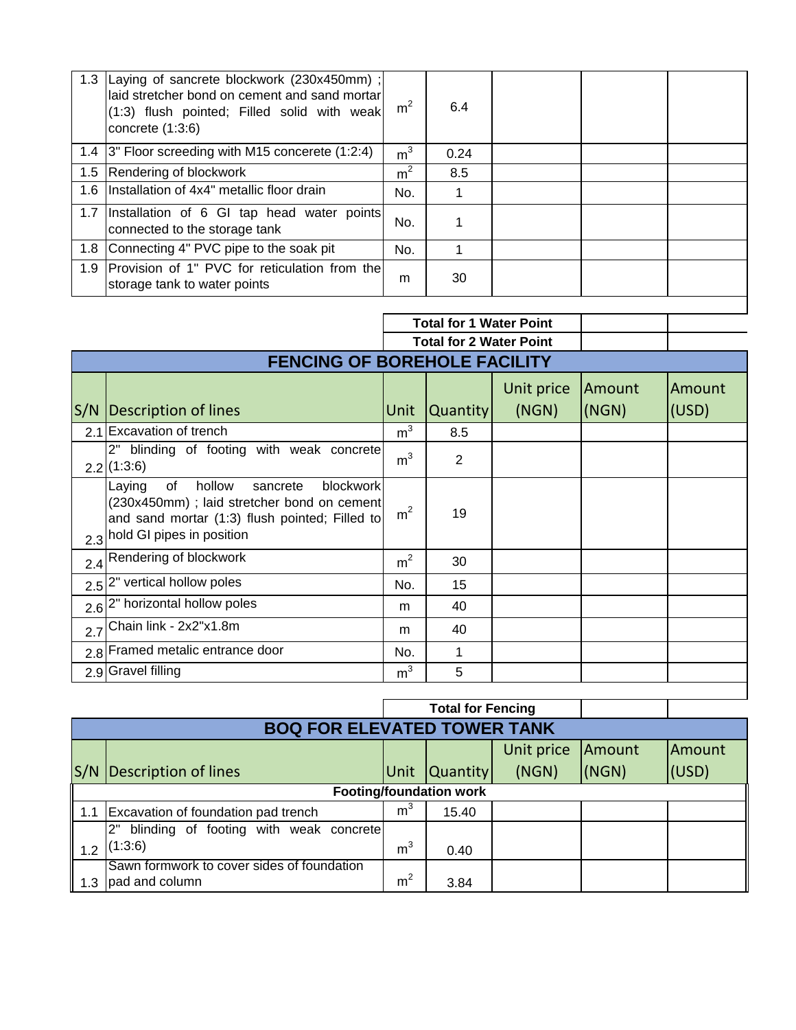|     | 1.3 Laying of sancrete blockwork (230x450mm);<br>laid stretcher bond on cement and sand mortar<br>(1:3) flush pointed; Filled solid with weak<br>concrete $(1:3:6)$ | m <sup>2</sup> | 6.4  |  |  |
|-----|---------------------------------------------------------------------------------------------------------------------------------------------------------------------|----------------|------|--|--|
|     | 1.4 3" Floor screeding with M15 concerete (1:2:4)                                                                                                                   | m <sup>3</sup> | 0.24 |  |  |
|     | 1.5 Rendering of blockwork                                                                                                                                          | m <sup>2</sup> | 8.5  |  |  |
| 1.6 | Installation of 4x4" metallic floor drain                                                                                                                           | No.            |      |  |  |
|     | 1.7 Installation of 6 GI tap head water points<br>connected to the storage tank                                                                                     | No.            |      |  |  |
|     | 1.8 Connecting 4" PVC pipe to the soak pit                                                                                                                          | No.            |      |  |  |
| 1.9 | Provision of 1" PVC for reticulation from the<br>storage tank to water points                                                                                       | m              | 30   |  |  |

|     |                                                                                                                                                                                   | <b>Total for 1 Water Point</b> |          |                     |                 |                 |  |  |
|-----|-----------------------------------------------------------------------------------------------------------------------------------------------------------------------------------|--------------------------------|----------|---------------------|-----------------|-----------------|--|--|
|     | <b>Total for 2 Water Point</b>                                                                                                                                                    |                                |          |                     |                 |                 |  |  |
|     | <b>FENCING OF BOREHOLE FACILITY</b>                                                                                                                                               |                                |          |                     |                 |                 |  |  |
|     | S/N   Description of lines                                                                                                                                                        | Unit                           | Quantity | Unit price<br>(NGN) | Amount<br>(NGN) | Amount<br>(USD) |  |  |
| 2.1 | Excavation of trench                                                                                                                                                              | m <sup>3</sup>                 | 8.5      |                     |                 |                 |  |  |
|     | 2"<br>blinding of footing with weak concrete<br>$2.2$ (1:3:6)                                                                                                                     | m <sup>3</sup>                 | 2        |                     |                 |                 |  |  |
|     | hollow<br>blockwork<br>of<br>sancrete<br>Laying<br>(230x450mm) ; laid stretcher bond on cement<br>and sand mortar (1:3) flush pointed; Filled to<br>2.3 hold GI pipes in position | m <sup>2</sup>                 | 19       |                     |                 |                 |  |  |
|     | 2.4 Rendering of blockwork                                                                                                                                                        | $\rm m^2$                      | 30       |                     |                 |                 |  |  |
|     | 2.5 <sup>2"</sup> vertical hollow poles                                                                                                                                           | No.                            | 15       |                     |                 |                 |  |  |
|     | 2.6 <sup>2"</sup> horizontal hollow poles                                                                                                                                         | m                              | 40       |                     |                 |                 |  |  |
|     | $2.7$ Chain link - $2x2"x1.8m$                                                                                                                                                    | m                              | 40       |                     |                 |                 |  |  |
|     | 2.8 Framed metalic entrance door                                                                                                                                                  | No.                            | 1        |                     |                 |                 |  |  |
|     | 2.9 Gravel filling                                                                                                                                                                | m <sup>3</sup>                 | 5        |                     |                 |                 |  |  |
|     |                                                                                                                                                                                   |                                |          |                     |                 |                 |  |  |

|     |                                              |                | <b>Total for Fencing</b> |            |        |        |  |  |
|-----|----------------------------------------------|----------------|--------------------------|------------|--------|--------|--|--|
|     | <b>BOQ FOR ELEVATED TOWER TANK</b>           |                |                          |            |        |        |  |  |
|     |                                              |                |                          | Unit price | Amount | Amount |  |  |
| S/N | Description of lines                         | Unit           | <b>Quantity</b>          | (NGN)      | (NGN)  | (USD)  |  |  |
|     | <b>Footing/foundation work</b>               |                |                          |            |        |        |  |  |
| 1.1 | Excavation of foundation pad trench          | m <sup>3</sup> | 15.40                    |            |        |        |  |  |
|     | blinding of footing with weak concrete<br>2" |                |                          |            |        |        |  |  |
| 1.2 | (1:3:6)                                      | m <sup>3</sup> | 0.40                     |            |        |        |  |  |
|     | Sawn formwork to cover sides of foundation   |                |                          |            |        |        |  |  |
| 1.3 | pad and column                               | m <sup>2</sup> | 3.84                     |            |        |        |  |  |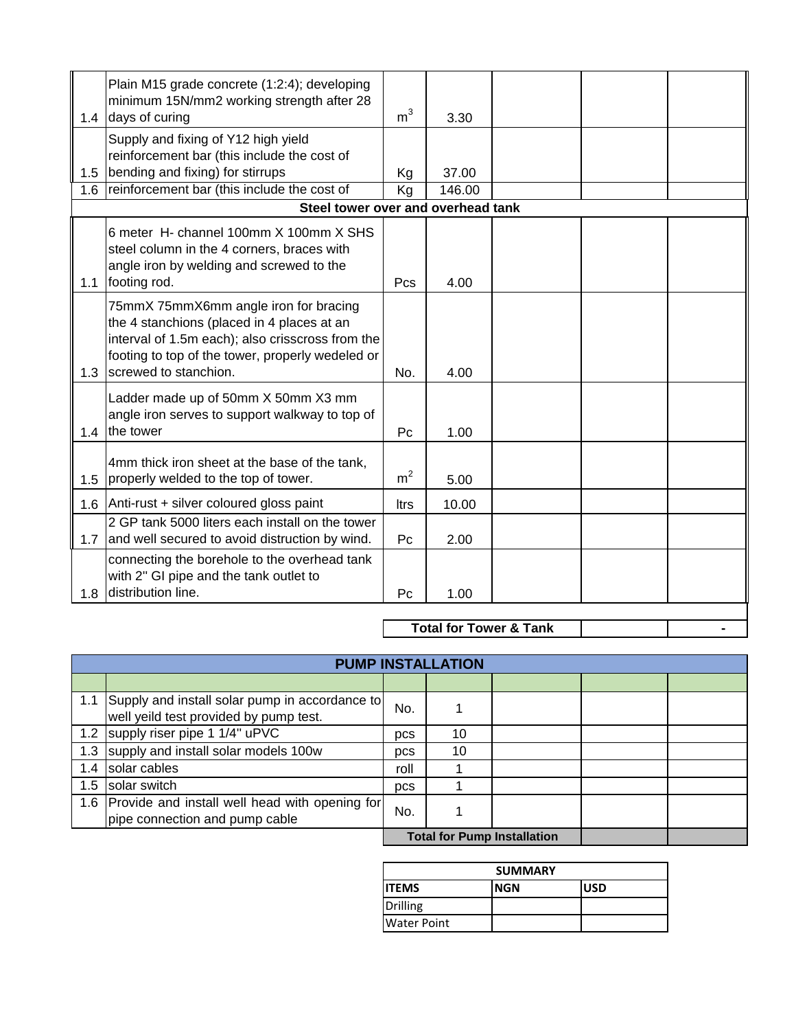| 1.4 | Plain M15 grade concrete (1:2:4); developing<br>minimum 15N/mm2 working strength after 28<br>days of curing                                                                                                          | m <sup>3</sup> | 3.30   |  |  |  |
|-----|----------------------------------------------------------------------------------------------------------------------------------------------------------------------------------------------------------------------|----------------|--------|--|--|--|
|     | Supply and fixing of Y12 high yield<br>reinforcement bar (this include the cost of                                                                                                                                   |                |        |  |  |  |
| 1.5 | bending and fixing) for stirrups                                                                                                                                                                                     | Kg             | 37.00  |  |  |  |
| 1.6 | reinforcement bar (this include the cost of                                                                                                                                                                          | Kg             | 146.00 |  |  |  |
|     | Steel tower over and overhead tank                                                                                                                                                                                   |                |        |  |  |  |
| 1.1 | 6 meter H- channel 100mm X 100mm X SHS<br>steel column in the 4 corners, braces with<br>angle iron by welding and screwed to the<br>footing rod.                                                                     | Pcs            | 4.00   |  |  |  |
| 1.3 | 75mmX 75mmX6mm angle iron for bracing<br>the 4 stanchions (placed in 4 places at an<br>interval of 1.5m each); also crisscross from the<br>footing to top of the tower, properly wedeled or<br>screwed to stanchion. | No.            | 4.00   |  |  |  |
| 1.4 | Ladder made up of 50mm X 50mm X3 mm<br>angle iron serves to support walkway to top of<br>the tower                                                                                                                   | P <sub>C</sub> | 1.00   |  |  |  |
| 1.5 | 4mm thick iron sheet at the base of the tank,<br>properly welded to the top of tower.                                                                                                                                | m <sup>2</sup> | 5.00   |  |  |  |
|     | 1.6 Anti-rust + silver coloured gloss paint                                                                                                                                                                          | <b>Itrs</b>    | 10.00  |  |  |  |
| 1.7 | 2 GP tank 5000 liters each install on the tower<br>and well secured to avoid distruction by wind.                                                                                                                    | Pc             | 2.00   |  |  |  |
| 1.8 | connecting the borehole to the overhead tank<br>with 2" GI pipe and the tank outlet to<br>distribution line.                                                                                                         | P <sub>c</sub> | 1.00   |  |  |  |
|     | <b>Total for Tower &amp; Tank</b>                                                                                                                                                                                    |                |        |  |  |  |

**Total for Tower & Tank**

|                                    | <b>PUMP INSTALLATION</b>                                                                     |      |    |  |  |  |  |
|------------------------------------|----------------------------------------------------------------------------------------------|------|----|--|--|--|--|
|                                    |                                                                                              |      |    |  |  |  |  |
|                                    | 1.1 Supply and install solar pump in accordance to<br>well yeild test provided by pump test. | No.  |    |  |  |  |  |
|                                    | 1.2 supply riser pipe 1 1/4" uPVC                                                            | pcs  | 10 |  |  |  |  |
| 1.3                                | supply and install solar models 100w                                                         | pcs  | 10 |  |  |  |  |
| 1.4                                | solar cables                                                                                 | roll |    |  |  |  |  |
| 1.5                                | solar switch                                                                                 | pcs  |    |  |  |  |  |
|                                    | 1.6 Provide and install well head with opening for<br>pipe connection and pump cable         | No.  |    |  |  |  |  |
| <b>Total for Pump Installation</b> |                                                                                              |      |    |  |  |  |  |

| <b>SUMMARY</b>     |            |            |  |  |  |  |
|--------------------|------------|------------|--|--|--|--|
| <b>IITEMS</b>      | <b>NGN</b> | <b>USD</b> |  |  |  |  |
| Drilling           |            |            |  |  |  |  |
| <b>Water Point</b> |            |            |  |  |  |  |